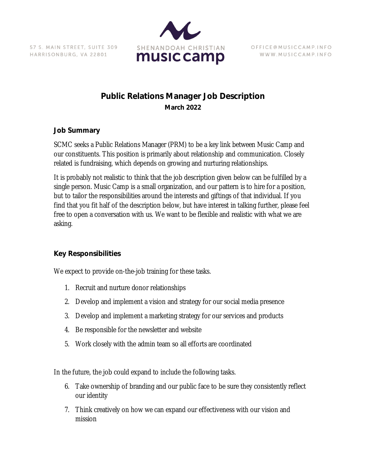57 S. MAIN STREET, SUITE 309 HARRISONBURG, VA 22801



OFFICE @ MUSICCAMP.INFO WWW.MUSICCAMP.INFO

# **Public Relations Manager Job Description March 2022**

#### **Job Summary**

SCMC seeks a Public Relations Manager (PRM) to be a key link between Music Camp and our constituents. This position is primarily about relationship and communication. Closely related is fundraising, which depends on growing and nurturing relationships.

It is probably not realistic to think that the job description given below can be fulfilled by a single person. Music Camp is a small organization, and our pattern is to hire for a position, but to tailor the responsibilities around the interests and giftings of that individual. If you find that you fit half of the description below, but have interest in talking further, please feel free to open a conversation with us. We want to be flexible and realistic with what we are asking.

#### **Key Responsibilities**

We expect to provide on-the-job training for these tasks.

- 1. Recruit and nurture donor relationships
- 2. Develop and implement a vision and strategy for our social media presence
- 3. Develop and implement a marketing strategy for our services and products
- 4. Be responsible for the newsletter and website
- 5. Work closely with the admin team so all efforts are coordinated

In the future, the job could expand to include the following tasks.

- 6. Take ownership of branding and our public face to be sure they consistently reflect our identity
- 7. Think creatively on how we can expand our effectiveness with our vision and mission